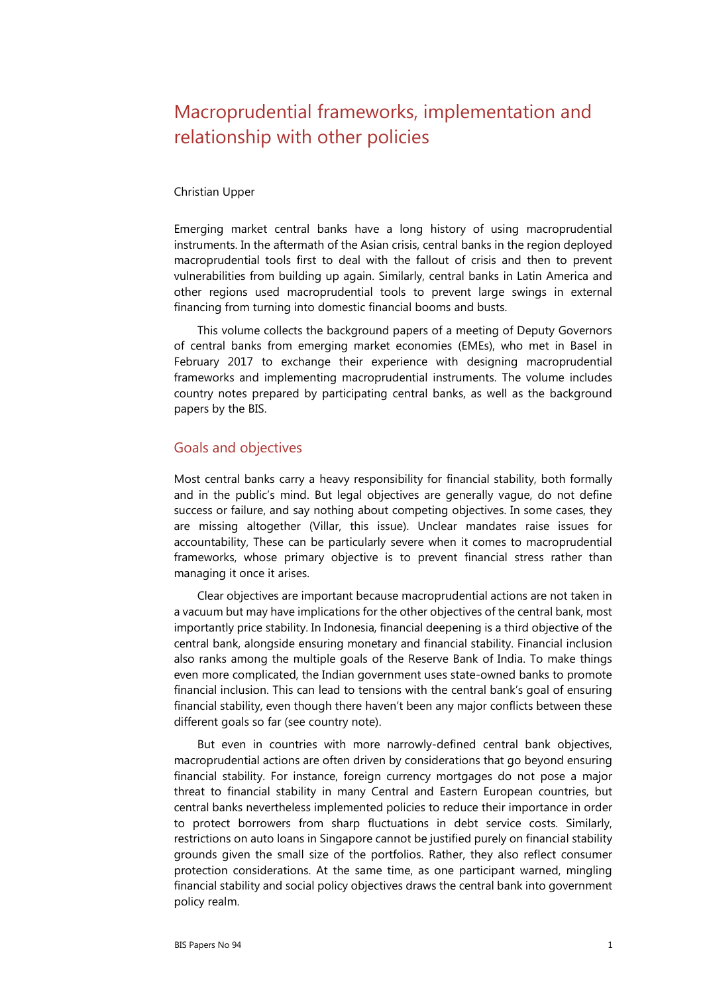# Macroprudential frameworks, implementation and relationship with other policies

#### Christian Upper

Emerging market central banks have a long history of using macroprudential instruments. In the aftermath of the Asian crisis, central banks in the region deployed macroprudential tools first to deal with the fallout of crisis and then to prevent vulnerabilities from building up again. Similarly, central banks in Latin America and other regions used macroprudential tools to prevent large swings in external financing from turning into domestic financial booms and busts.

This volume collects the background papers of a meeting of Deputy Governors of central banks from emerging market economies (EMEs), who met in Basel in February 2017 to exchange their experience with designing macroprudential frameworks and implementing macroprudential instruments. The volume includes country notes prepared by participating central banks, as well as the background papers by the BIS.

### Goals and objectives

Most central banks carry a heavy responsibility for financial stability, both formally and in the public's mind. But legal objectives are generally vague, do not define success or failure, and say nothing about competing objectives. In some cases, they are missing altogether (Villar, this issue). Unclear mandates raise issues for accountability, These can be particularly severe when it comes to macroprudential frameworks, whose primary objective is to prevent financial stress rather than managing it once it arises.

Clear objectives are important because macroprudential actions are not taken in a vacuum but may have implications for the other objectives of the central bank, most importantly price stability. In Indonesia, financial deepening is a third objective of the central bank, alongside ensuring monetary and financial stability. Financial inclusion also ranks among the multiple goals of the Reserve Bank of India. To make things even more complicated, the Indian government uses state-owned banks to promote financial inclusion. This can lead to tensions with the central bank's goal of ensuring financial stability, even though there haven't been any major conflicts between these different goals so far (see country note).

But even in countries with more narrowly-defined central bank objectives, macroprudential actions are often driven by considerations that go beyond ensuring financial stability. For instance, foreign currency mortgages do not pose a major threat to financial stability in many Central and Eastern European countries, but central banks nevertheless implemented policies to reduce their importance in order to protect borrowers from sharp fluctuations in debt service costs. Similarly, restrictions on auto loans in Singapore cannot be justified purely on financial stability grounds given the small size of the portfolios. Rather, they also reflect consumer protection considerations. At the same time, as one participant warned, mingling financial stability and social policy objectives draws the central bank into government policy realm.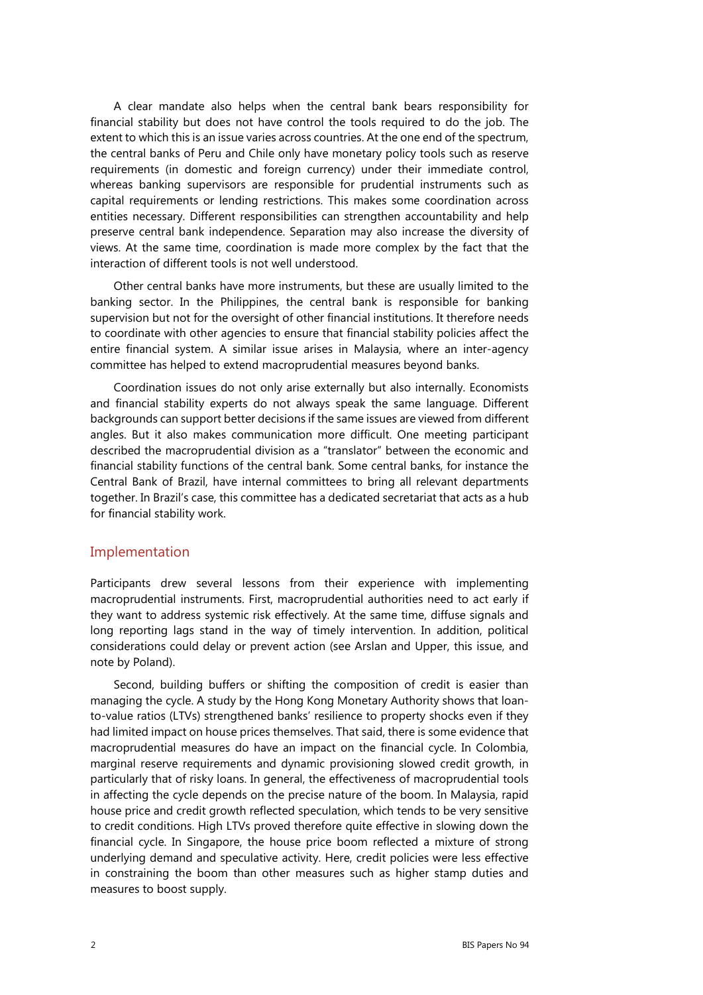A clear mandate also helps when the central bank bears responsibility for financial stability but does not have control the tools required to do the job. The extent to which this is an issue varies across countries. At the one end of the spectrum, the central banks of Peru and Chile only have monetary policy tools such as reserve requirements (in domestic and foreign currency) under their immediate control, whereas banking supervisors are responsible for prudential instruments such as capital requirements or lending restrictions. This makes some coordination across entities necessary. Different responsibilities can strengthen accountability and help preserve central bank independence. Separation may also increase the diversity of views. At the same time, coordination is made more complex by the fact that the interaction of different tools is not well understood.

Other central banks have more instruments, but these are usually limited to the banking sector. In the Philippines, the central bank is responsible for banking supervision but not for the oversight of other financial institutions. It therefore needs to coordinate with other agencies to ensure that financial stability policies affect the entire financial system. A similar issue arises in Malaysia, where an inter-agency committee has helped to extend macroprudential measures beyond banks.

Coordination issues do not only arise externally but also internally. Economists and financial stability experts do not always speak the same language. Different backgrounds can support better decisions if the same issues are viewed from different angles. But it also makes communication more difficult. One meeting participant described the macroprudential division as a "translator" between the economic and financial stability functions of the central bank. Some central banks, for instance the Central Bank of Brazil, have internal committees to bring all relevant departments together. In Brazil's case, this committee has a dedicated secretariat that acts as a hub for financial stability work.

#### Implementation

Participants drew several lessons from their experience with implementing macroprudential instruments. First, macroprudential authorities need to act early if they want to address systemic risk effectively. At the same time, diffuse signals and long reporting lags stand in the way of timely intervention. In addition, political considerations could delay or prevent action (see Arslan and Upper, this issue, and note by Poland).

Second, building buffers or shifting the composition of credit is easier than managing the cycle. A study by the Hong Kong Monetary Authority shows that loanto-value ratios (LTVs) strengthened banks' resilience to property shocks even if they had limited impact on house prices themselves. That said, there is some evidence that macroprudential measures do have an impact on the financial cycle. In Colombia, marginal reserve requirements and dynamic provisioning slowed credit growth, in particularly that of risky loans. In general, the effectiveness of macroprudential tools in affecting the cycle depends on the precise nature of the boom. In Malaysia, rapid house price and credit growth reflected speculation, which tends to be very sensitive to credit conditions. High LTVs proved therefore quite effective in slowing down the financial cycle. In Singapore, the house price boom reflected a mixture of strong underlying demand and speculative activity. Here, credit policies were less effective in constraining the boom than other measures such as higher stamp duties and measures to boost supply.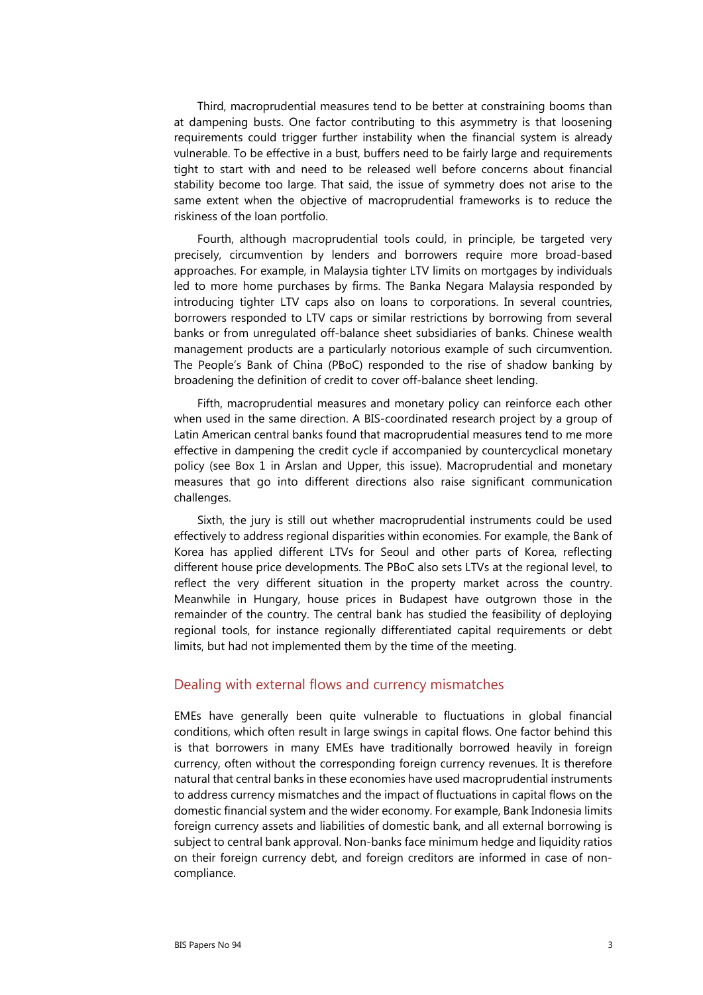Third, macroprudential measures tend to be better at constraining booms than at dampening busts. One factor contributing to this asymmetry is that loosening requirements could trigger further instability when the financial system is already vulnerable. To be effective in a bust, buffers need to be fairly large and requirements tight to start with and need to be released well before concerns about financial stability become too large. That said, the issue of symmetry does not arise to the same extent when the objective of macroprudential frameworks is to reduce the riskiness of the loan portfolio.

Fourth, although macroprudential tools could, in principle, be targeted very precisely, circumvention by lenders and borrowers require more broad-based approaches. For example, in Malaysia tighter LTV limits on mortgages by individuals led to more home purchases by firms. The Banka Negara Malaysia responded by introducing tighter LTV caps also on loans to corporations. In several countries, borrowers responded to LTV caps or similar restrictions by borrowing from several banks or from unregulated off-balance sheet subsidiaries of banks. Chinese wealth management products are a particularly notorious example of such circumvention. The People's Bank of China (PBoC) responded to the rise of shadow banking by broadening the definition of credit to cover off-balance sheet lending.

Fifth, macroprudential measures and monetary policy can reinforce each other when used in the same direction. A BIS-coordinated research project by a group of Latin American central banks found that macroprudential measures tend to me more effective in dampening the credit cycle if accompanied by countercyclical monetary policy (see Box 1 in Arslan and Upper, this issue). Macroprudential and monetary measures that go into different directions also raise significant communication challenges.

Sixth, the jury is still out whether macroprudential instruments could be used effectively to address regional disparities within economies. For example, the Bank of Korea has applied different LTVs for Seoul and other parts of Korea, reflecting different house price developments. The PBoC also sets LTVs at the regional level, to reflect the very different situation in the property market across the country. Meanwhile in Hungary, house prices in Budapest have outgrown those in the remainder of the country. The central bank has studied the feasibility of deploying regional tools, for instance regionally differentiated capital requirements or debt limits, but had not implemented them by the time of the meeting.

### Dealing with external flows and currency mismatches

EMEs have generally been quite vulnerable to fluctuations in global financial conditions, which often result in large swings in capital flows. One factor behind this is that borrowers in many EMEs have traditionally borrowed heavily in foreign currency, often without the corresponding foreign currency revenues. It is therefore natural that central banks in these economies have used macroprudential instruments to address currency mismatches and the impact of fluctuations in capital flows on the domestic financial system and the wider economy. For example, Bank Indonesia limits foreign currency assets and liabilities of domestic bank, and all external borrowing is subject to central bank approval. Non-banks face minimum hedge and liquidity ratios on their foreign currency debt, and foreign creditors are informed in case of noncompliance.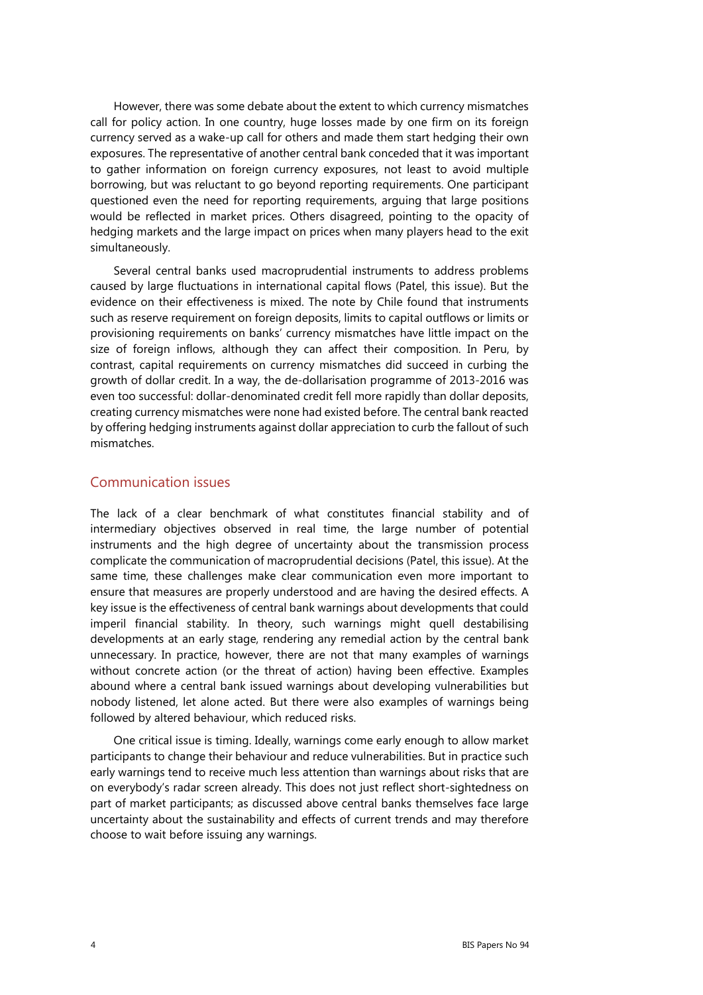However, there was some debate about the extent to which currency mismatches call for policy action. In one country, huge losses made by one firm on its foreign currency served as a wake-up call for others and made them start hedging their own exposures. The representative of another central bank conceded that it was important to gather information on foreign currency exposures, not least to avoid multiple borrowing, but was reluctant to go beyond reporting requirements. One participant questioned even the need for reporting requirements, arguing that large positions would be reflected in market prices. Others disagreed, pointing to the opacity of hedging markets and the large impact on prices when many players head to the exit simultaneously.

Several central banks used macroprudential instruments to address problems caused by large fluctuations in international capital flows (Patel, this issue). But the evidence on their effectiveness is mixed. The note by Chile found that instruments such as reserve requirement on foreign deposits, limits to capital outflows or limits or provisioning requirements on banks' currency mismatches have little impact on the size of foreign inflows, although they can affect their composition. In Peru, by contrast, capital requirements on currency mismatches did succeed in curbing the growth of dollar credit. In a way, the de-dollarisation programme of 2013-2016 was even too successful: dollar-denominated credit fell more rapidly than dollar deposits, creating currency mismatches were none had existed before. The central bank reacted by offering hedging instruments against dollar appreciation to curb the fallout of such mismatches.

#### Communication issues

The lack of a clear benchmark of what constitutes financial stability and of intermediary objectives observed in real time, the large number of potential instruments and the high degree of uncertainty about the transmission process complicate the communication of macroprudential decisions (Patel, this issue). At the same time, these challenges make clear communication even more important to ensure that measures are properly understood and are having the desired effects. A key issue is the effectiveness of central bank warnings about developments that could imperil financial stability. In theory, such warnings might quell destabilising developments at an early stage, rendering any remedial action by the central bank unnecessary. In practice, however, there are not that many examples of warnings without concrete action (or the threat of action) having been effective. Examples abound where a central bank issued warnings about developing vulnerabilities but nobody listened, let alone acted. But there were also examples of warnings being followed by altered behaviour, which reduced risks.

One critical issue is timing. Ideally, warnings come early enough to allow market participants to change their behaviour and reduce vulnerabilities. But in practice such early warnings tend to receive much less attention than warnings about risks that are on everybody's radar screen already. This does not just reflect short-sightedness on part of market participants; as discussed above central banks themselves face large uncertainty about the sustainability and effects of current trends and may therefore choose to wait before issuing any warnings.